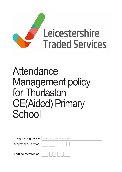

# Attendance Management policy for Thurlaston CE(Aided) Primary **School**

|                        | The governing body of Thurlaston CE (Aided) Primary School |
|------------------------|------------------------------------------------------------|
| adopted this policy on |                                                            |
| It will be reviewed on |                                                            |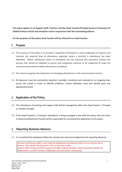This policy applies to all Support Staff, Teachers and the Head Teacher/Principal based at Thurlaston CE (Aided) Primary School and should be read in conjunction with the associated guidance.

For the purposes of this policy Head Teacher will be referred to as Head Teacher.

#### 1. Purpose

- 1.1 The purpose of this policy is to provide a supportive framework to assist employees to improve and maintain the required level of attendance expected, where a shortfall in attendance has been identified. Where satisfactory levels of attendance are not achieved this document outlines the process that should be followed to ensure that employees continue to be supported to make the necessary improvements before dismissal is considered.
- 1.2 The school recognises the importance of managing attendance in a fair and consistent manner.
- 1.3 All absences must be consistently reported, recorded, monitored and analysed on an ongoing basis across the school in order to identify problems, review individual cases and decide upon any appropriate action.

# 2. Application of the Policy

- 2.1 The attendance of teaching and support staff will be managed by either the Head Teacher / Principal or another manager.
- 2.2 If the Head Teacher's / Principal's attendance is being managed in line with this policy, then the Chair of Governors/Governor/Trustee will be responsible for overseeing the application of this policy.

#### 3. Reporting Sickness Absence

3.1 It is essential that employees follow the schools own internal arrangements for reporting absences.

Teachers and Premises Officer must notify the Headteacher by telephone before 7am on the first day of absence. They should ring and speak to him on his home number. Support staff including Lunchtime support and Office staff should phone school and speak to ideally the headteacher or another member of staff before the start of their working day.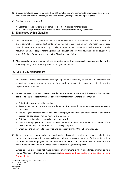- 3.2 Once an employee has notified the school of their absence, arrangements to ensure regular contact is maintained between the employee and Head Teacher/manager should be put in place.
- 3.3 Employees who are absent for:
	- Less than 7 calendar days must complete a self-certification for their absence.
	- 7 calendar days or more must provide a valid Fit Note from their GP / Consultant.

#### 4. Employees with a Disability

- 4.1 Consideration must be given as to whether an employee's level of attendance is due to a disability, and if so, what reasonable adjustments may be needed to assist the employee to reach the required level of attendance. If an underlying disability is suspected, an Occupational Health referral is usually required and advice sought regarding reasonable adjustments. Further advice should be sought from your HR Adviser. You may also refer to the Disability Leave Policy.
- 4.2 Absences relating to pregnancy will also be kept separate from sickness absence records. For further advice regarding such absences please contact your HR Adviser.

#### 5. 5. Day to Day Management

- 5.1 An effective absence management strategy requires consistent day to day line management and support of employees who are absent from work or whose attendance levels fall below the expectations of the school.
- 5.2 Where there are continuing concerns regarding an employee's attendance, it is essential that the Head Teacher attempts to resolve these via day to day management / welfare meeting(s) to:
	- Raise their concerns with the employee.
	- Agree a course of action and a reasonable period of review with the employee (suggest between 4 to 8 weeks).
	- Ensure regular contact is maintained with the employee to address any issues that arise and ensure that any agreed actions remain relevant and up to date.
	- Retain a record of all discussions held and support offered.
	- Advise the employee that failure to achieve the necessary levels in attendance by the end of the review period may lead to formal processes being adopted.
	- Encourage the employee to see advice and guidance from their Union Representative.
- 5.3 At the end of the review period the Head teacher should discuss with the employee whether the targets for improvement have been achieved. Where progress is made, no further action will be required, however, employees must be informed that failure to maintain the level of attendance may result in the employee being managed under the formal stages of this policy.
- 5.4 Where an employee does not make sufficient improvement in their attendance, progression to a Formal Attendance Meeting will be considered. (See associated Guidance for template letter: Invite to Formal Meeting)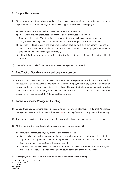#### 6. Support Mechanisms

- 6.1 At any appropriate time when attendance issues have been identified, it may be appropriate to explore some or all of the below (non-exhaustive) support options with the employee:
	- a) Referral to Occupational Health to seek medical advice and opinion.
	- b) Fit for Work, providing resources and information for employees & employers.
	- c) Therapeutic Return to Work to assist the employee to return back to work on a planned and phased basis, usually following a medical recommendation. See Therapeutic Return to Work Policy.
	- d) Reduction in Hours to assist the employee to return back to work on a temporary or permanent basis, which must be mutually accommodated and agreed. The employee's contract of employment will then be changed accordingly.
	- e) Ill Health Retirement may be an option but in the first instance requires an Occupational Health referral.

[Further information can be found in the Attendance Management Guidance.]

#### 7. Fast Track to Attendance Hearing – Long term Absence

7.1 There will be occasions in cases, for example, where medical reports indicate that a return to work is not possible within a reasonable time period or where an employee has a long term health condition or terminal illness. In these circumstances the school will ensure that all avenues of support, including ill health retirement and redeployment, have been exhausted. If this can be demonstrated, the formal procedures will commence at the Attendance Hearing stage.

#### 8. Formal Attendance Management Meeting

- 8.1 Where there are continuing concerns regarding an employee's attendance, a Formal Attendance Management Meeting will be arranged. At least 10 working days' notice will be given for this meeting.
- 8.2 The employee has the right to be accompanied by a work colleague or trade union representative.
- 8.3 At this meeting, the Head Teacher, Employee and their representative will:
	- a) Discuss the employees on going absence and reasons for this.
	- b) Discuss what support has been put in place to date and whether additional support is required.
	- c) Agree a formal improvement plan outlining the level of improvement required and a reasonable timescale for achievement (this is the review period).
	- d) The Head teacher will advise that failure to improve their level of attendance within the agreed timescale could result in a final warning being issued at the end of the review period.
- 8.4 The employee will receive written confirmation of the outcome of the meeting.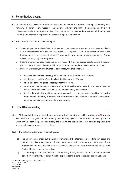### 9. Formal Review Meeting

- 9.1 At the end of the review period the employee will be invited to a Review Meeting. 10 working days' notice will be given for this meeting. The employee will have the right to be accompanied by a work colleague or trade union representative. Both the person conducting the meeting and the employee will have an opportunity to present evidence to support their position.
- 9.2 The potential outcomes of the meeting are:
	- a) The employee has made sufficient improvement; the attendance procedure may cease and day to day management/monitoring will recommence. Employees should be informed that if the improvement is not sustained within 12 months the process may recommence at the Formal Review Meeting stage of this policy.
	- b) If some progress has been made and more is required, it may be appropriate to extend the review period. In the majority of cases, it will be appropriate to extend the review period just once;
	- c) If no, or insufficient, improvement has been made, the employee will:
		- Receive a final written warning which will remain on their file for 12 months
		- Be informed in writing of the details of the Final Written Warning
		- Be advised of their right to appeal against the warning
		- Be informed that failure to achieve the required level of attendance by the next review may lead to an attendance hearing where the employee may be dismissed
		- Receive the revised formal improvement plan with the outcome letter, detailing the level of improvement required, timescale for improvement and additional support mechanisms identified to assist the employee to return to work

#### 10. Final Review Meeting

- 10.1 At the end of the review period, the employee will be invited to a Final Review Meeting. 10 working days' notice will be given for this meeting and the employee will be informed of their right to be accompanied. Both the person conducting the meeting and the employee will have an opportunity to present evidence to support their position.
- 10.2 The potential outcomes of the meeting are:
	- a) The employee has made sufficient improvement and the attendance procedure may cease and the day to day management of their attendance will recommence. However, if the improvement is not sustained within 12 months the process may recommence at the Final Review Meeting stage of this policy.
	- b) If some progress has been made and more is likely, it may be appropriate to extend the review period. In the majority of cases, it will be appropriate to extend the review period just once;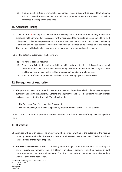c) If no, or insufficient, improvement has been made, the employee will be advised that a hearing will be convened to consider the case and that a potential outcome is dismissal. This will be confirmed in writing to the employee.

### 11. Attendance Hearing

- 11.1 A minimum of 10 working days' written notice will be given to attend a formal hearing in which the employee will be informed of the reasons for the hearing and their right to be accompanied by a work colleague or trade union representative. The letter must state that a potential outcome of the hearing is dismissal and enclose copies of relevant documentation intended to be referred to at the hearing. The employee will also be given an opportunity to present their case and provide evidence.
- 11.2 The potential outcomes of the hearing are:
	- a) No further action is required.
	- b) There is insufficient information available on which to base a decision or it is considered that all the support available has not been explored fully. Therefore an extension will be agreed to the final formal review stage, with a further improvement plan being implemented.
	- c) If no, or insufficient, improvement has been made, the employee will be dismissed.

# 12. Delegation of Authority

- 12.1 The person or panel responsible for hearing the case will depend on who has been given delegated authority in line with the Academy's Scheme of Delegation/ Schools Decision Making Planner, to make decisions about potential dismissal. This with either be:
	- The Governing Body (i.e. a panel of Governors)
	- The Head teacher, who may be supported by another member of the SLT or a Governor.

Note: It would not be appropriate for the Head Teacher to make the decision if they have managed the case.

# 13. Dismissal

- 13.1 Dismissal will be with notice. The employee will be notified in writing of the outcome of the hearing, including the reason for the dismissal and date of termination of their employment. The letter will also include details of their right of appeal.
- 13.2 For Maintained Schools: the Local Authority (LA) has the right to be represented at the hearing, and this will usually be a member of the LTS HR team in an advisory capacity. The school must notify both the employee and the LA of their decision. The LA will then write to the employee to dismiss them within 14 days of the notification.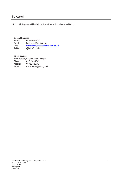# 14. Appeal

14.1 All Appeals will be held in line with the Schools Appeal Policy.

#### General Enquires

| Phone:          | 0116 3050700                            |
|-----------------|-----------------------------------------|
| Email:          | hrservices@leics.gov.uk                 |
| Web:            | www.leicestershiretradedservices.org.uk |
| <b>Twitter:</b> | @LeicsSchools                           |

#### Direct Queries

Mary Robson, External Team Manager<br>Phone: 0116 3055702 Phone: 0116 3055702<br>Mobile: 07730 582743 Mobile: 07730 582743<br>Email: marv.robson@le mary.robson@leics.gov.uk